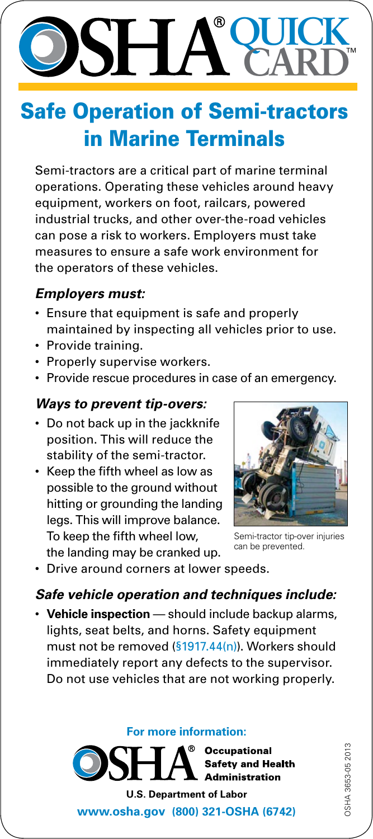### **QUICK** ® **SHA CARD**

## Safe Operation of Semi-tractors in Marine Terminals

Semi-tractors are a critical part of marine terminal operations. Operating these vehicles around heavy equipment, workers on foot, railcars, powered industrial trucks, and other over-the-road vehicles can pose a risk to workers. Employers must take measures to ensure a safe work environment for the operators of these vehicles.

#### *Employers must:*

- Ensure that equipment is safe and properly maintained by inspecting all vehicles prior to use.
- Provide training.
- Properly supervise workers.
- Provide rescue procedures in case of an emergency.

#### *Ways to prevent tip-overs:*

- Do not back up in the jackknife position. This will reduce the stability of the semi-tractor.
- • Keep the fifth wheel as low as possible to the ground without hitting or grounding the landing legs. This will improve balance. To keep the fifth wheel low, the landing may be cranked up.



Semi-tractor tip-over injuries can be prevented.

• Drive around corners at lower speeds.

#### *Safe vehicle operation and techniques include:*

• **Vehicle inspection** — should include backup alarms, lights, seat belts, and horns. Safety equipment must not be removed [\(§1917.44\(n\)\)](http://www.osha.gov/pls/oshaweb/owadisp.show_document?p_table=STANDARDS&p_id=10381#1917.44(n)). Workers should immediately report any defects to the supervisor. Do not use vehicles that are not working properly.

#### **For more information:**

**Occupational Safety and Health Administration U.S. Department of Labor**

**<www.osha.gov>(800) 321-OSHA (6742)**